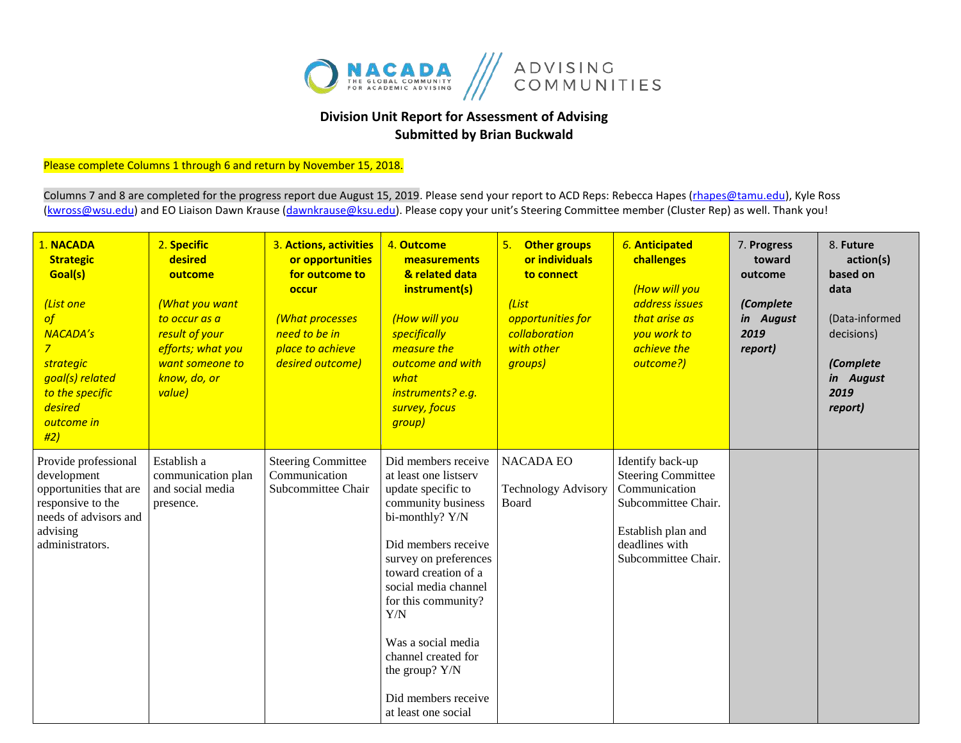

## **Division Unit Report for Assessment of Advising Submitted by Brian Buckwald**

## Please complete Columns 1 through 6 and return by November 15, 2018.

Columns 7 and 8 are completed for the progress report due August 15, 2019. Please send your report to ACD Reps: Rebecca Hapes (rhapes@tamu.edu), Kyle Ross [\(kwross@wsu.edu\)](mailto:kwross@wsu.edu) and EO Liaison Dawn Krause (dawnkrause@ksu.edu). Please copy your unit's Steering Committee member (Cluster Rep) as well. Thank you!

| 1. NACADA<br><b>Strategic</b><br>Goal(s)<br>(List one<br>of<br><b>NACADA's</b><br>$\overline{7}$<br>strategic<br>goal(s) related<br>to the specific<br>desired<br>outcome in<br>#2) | 2. Specific<br>desired<br>outcome<br>(What you want<br>to occur as a<br>result of your<br>efforts; what you<br>want someone to<br>know, do, or<br>value) | 3. Actions, activities<br>or opportunities<br>for outcome to<br>occur<br>(What processes<br>need to be in<br>place to achieve<br>desired outcome) | 4. Outcome<br>measurements<br>& related data<br>instrument(s)<br>(How will you<br>specifically<br>measure the<br>outcome and with<br>what<br>instruments? e.g.<br>survey, focus<br>group)                                                                                                                                                              | 5. Other groups<br>or individuals<br>to connect<br>(List<br>opportunities for<br>collaboration<br>with other<br>groups) | 6. Anticipated<br>challenges<br>(How will you<br>address issues<br>that arise as<br>you work to<br>achieve the<br>outcome?)                          | 7. Progress<br>toward<br>outcome<br>(Complete<br>in August<br>2019<br>report) | 8. Future<br>action(s)<br>based on<br>data<br>(Data-informed<br>decisions)<br>(Complete<br>in August<br>2019<br>report) |
|-------------------------------------------------------------------------------------------------------------------------------------------------------------------------------------|----------------------------------------------------------------------------------------------------------------------------------------------------------|---------------------------------------------------------------------------------------------------------------------------------------------------|--------------------------------------------------------------------------------------------------------------------------------------------------------------------------------------------------------------------------------------------------------------------------------------------------------------------------------------------------------|-------------------------------------------------------------------------------------------------------------------------|------------------------------------------------------------------------------------------------------------------------------------------------------|-------------------------------------------------------------------------------|-------------------------------------------------------------------------------------------------------------------------|
| Provide professional<br>development<br>opportunities that are<br>responsive to the<br>needs of advisors and<br>advising<br>administrators.                                          | Establish a<br>communication plan<br>and social media<br>presence.                                                                                       | <b>Steering Committee</b><br>Communication<br>Subcommittee Chair                                                                                  | Did members receive<br>at least one listserv<br>update specific to<br>community business<br>bi-monthly? Y/N<br>Did members receive<br>survey on preferences<br>toward creation of a<br>social media channel<br>for this community?<br>Y/N<br>Was a social media<br>channel created for<br>the group? Y/N<br>Did members receive<br>at least one social | <b>NACADA EO</b><br><b>Technology Advisory</b><br>Board                                                                 | Identify back-up<br><b>Steering Committee</b><br>Communication<br>Subcommittee Chair.<br>Establish plan and<br>deadlines with<br>Subcommittee Chair. |                                                                               |                                                                                                                         |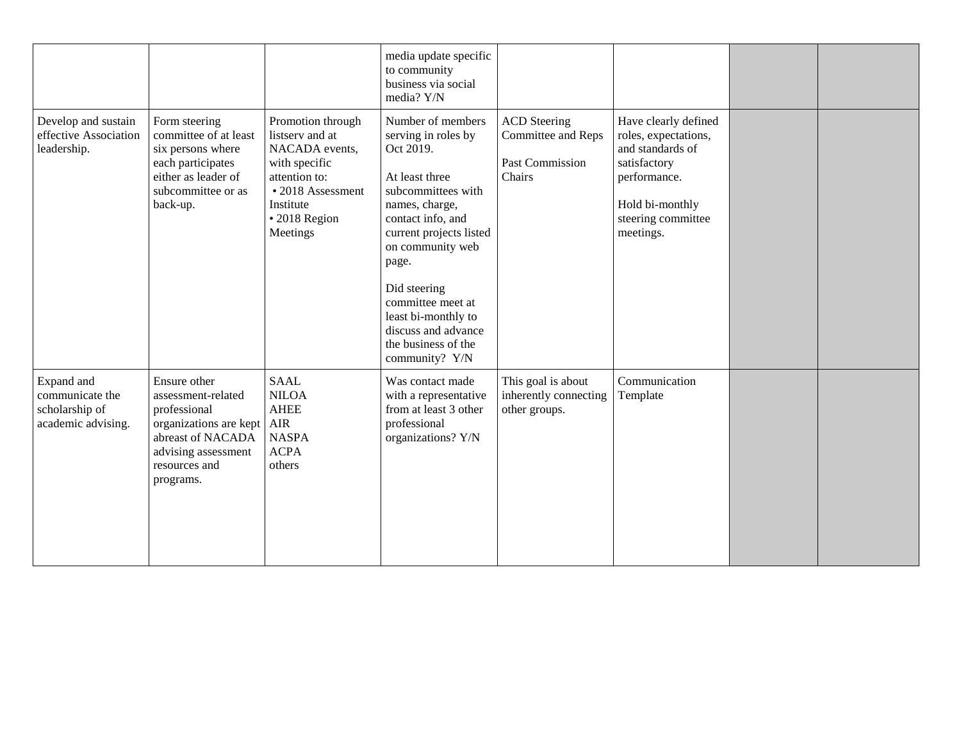|                                                                       |                                                                                                                                                        |                                                                                                                                                         | media update specific<br>to community<br>business via social<br>media? Y/N                                                                                                                                                                                                                                               |                                                                               |                                                                                                                                                        |  |
|-----------------------------------------------------------------------|--------------------------------------------------------------------------------------------------------------------------------------------------------|---------------------------------------------------------------------------------------------------------------------------------------------------------|--------------------------------------------------------------------------------------------------------------------------------------------------------------------------------------------------------------------------------------------------------------------------------------------------------------------------|-------------------------------------------------------------------------------|--------------------------------------------------------------------------------------------------------------------------------------------------------|--|
| Develop and sustain<br>effective Association<br>leadership.           | Form steering<br>committee of at least<br>six persons where<br>each participates<br>either as leader of<br>subcommittee or as<br>back-up.              | Promotion through<br>listserv and at<br>NACADA events,<br>with specific<br>attention to:<br>• 2018 Assessment<br>Institute<br>· 2018 Region<br>Meetings | Number of members<br>serving in roles by<br>Oct 2019.<br>At least three<br>subcommittees with<br>names, charge,<br>contact info, and<br>current projects listed<br>on community web<br>page.<br>Did steering<br>committee meet at<br>least bi-monthly to<br>discuss and advance<br>the business of the<br>community? Y/N | <b>ACD</b> Steering<br>Committee and Reps<br><b>Past Commission</b><br>Chairs | Have clearly defined<br>roles, expectations,<br>and standards of<br>satisfactory<br>performance.<br>Hold bi-monthly<br>steering committee<br>meetings. |  |
| Expand and<br>communicate the<br>scholarship of<br>academic advising. | Ensure other<br>assessment-related<br>professional<br>organizations are kept<br>abreast of NACADA<br>advising assessment<br>resources and<br>programs. | <b>SAAL</b><br><b>NILOA</b><br><b>AHEE</b><br><b>AIR</b><br><b>NASPA</b><br><b>ACPA</b><br>others                                                       | Was contact made<br>with a representative<br>from at least 3 other<br>professional<br>organizations? Y/N                                                                                                                                                                                                                 | This goal is about<br>inherently connecting<br>other groups.                  | Communication<br>Template                                                                                                                              |  |